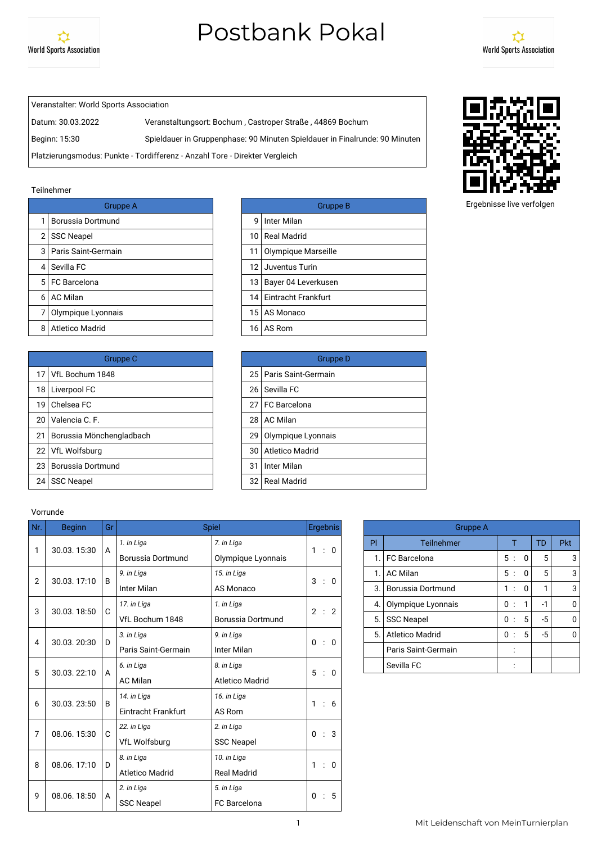



Veranstalter: World Sports Association

Datum: 30.03.2022 Veranstaltungsort: Bochum , Castroper Straße , 44869 Bochum Beginn: 15:30 Spieldauer in Gruppenphase: 90 Minuten Spieldauer in Finalrunde: 90 Minuten

Platzierungsmodus: Punkte - Tordifferenz - Anzahl Tore - Direkter Vergleich

#### Teilnehmer

|   | Gruppe A                |      | Grupp                    |
|---|-------------------------|------|--------------------------|
|   | Borussia Dortmund       | q    | Inter Milan              |
| 2 | <b>SSC Neapel</b>       | 10 I | Real Madrid              |
|   | 3   Paris Saint-Germain | 11   | Olympique Marseille      |
| 4 | Sevilla FC              | 12   | Juventus Turin           |
|   | 5 FC Barcelona          | 13 I | Bayer 04 Leverkusen      |
| 6 | <b>AC Milan</b>         |      | 14   Eintracht Frankfurt |
|   | Olympique Lyonnais      |      | 15   AS Monaco           |
| 8 | Atletico Madrid         | 16 I | AS Rom                   |

|                 | Gruppe C                 |    | Grupp                    |
|-----------------|--------------------------|----|--------------------------|
|                 | 17 VfL Bochum 1848       |    | 25   Paris Saint-Germain |
| 18 I            | Liverpool FC             | 26 | Sevilla FC               |
| 19 <sup>1</sup> | Chelsea FC               | 27 | <b>FC</b> Barcelona      |
| 20              | Valencia C. F.           | 28 | AC Milan                 |
| 21              | Borussia Mönchengladbach | 29 | Olympique Lyonnais       |
| 22 <sub>1</sub> | VfL Wolfsburg            | 30 | Atletico Madrid          |
| 23              | Borussia Dortmund        | 31 | Inter Milan              |
| 24              | <b>SSC Neapel</b>        | 32 | <b>Real Madrid</b>       |
|                 |                          |    |                          |

| Gruppe A |   | <b>Gruppe B</b>          |
|----------|---|--------------------------|
| าund     | 9 | I Inter Milan            |
|          |   | 10 Real Madrid           |
| main     |   | 11 Olympique Marseille   |
|          |   | 12 Juventus Turin        |
|          |   | 13   Bayer 04 Leverkusen |
|          |   | 14 Eintracht Frankfurt   |
| nnais    |   | 15 AS Monaco             |
|          |   | 16 AS Rom                |

| Gruppe C    |    | Gruppe D                 |
|-------------|----|--------------------------|
| 348         |    | 25   Paris Saint-Germain |
|             | 26 | Sevilla FC               |
|             |    | 27 FC Barcelona          |
|             | 28 | l AC Milan               |
| hengladbach |    | 29 Olympique Lyonnais    |
|             |    | 30 Atletico Madrid       |
| าund        | 31 | Inter Milan              |
|             |    | 32 Real Madrid           |

#### Vorrunde

| Nr.              | <b>Beginn</b> | Gr                |                        | Spiel              | <b>Ergebnis</b>                |  |    | <b>Gruppe A</b>          |
|------------------|---------------|-------------------|------------------------|--------------------|--------------------------------|--|----|--------------------------|
| 1                | 30.03.15:30   | A                 | 1. in Liga             | 7. in Liga         | 1 : 0                          |  | PI | Teilnehmer               |
|                  |               |                   | Borussia Dortmund      | Olympique Lyonnais |                                |  | 1. | <b>FC</b> Barcelona      |
| $\overline{2}$   | 30.03.17:10   | B                 | 9. in Liga             | 15. in Liga        | 3 : 0                          |  | 1. | <b>AC Milan</b>          |
|                  |               |                   | Inter Milan            | AS Monaco          |                                |  | 3. | <b>Borussia Dortmund</b> |
| 3                | 30.03.18:50   | C                 | 17. in Liga            | 1. in Liga         | 2<br>$\therefore$ 2            |  | 4. | Olympique Lyonnais       |
|                  |               |                   | VfL Bochum 1848        | Borussia Dortmund  |                                |  | 5. | <b>SSC Neapel</b>        |
| 4                | 30.03.20:30   | D                 | 3. in Liga             | 9. in Liga         | $\mathbf 0$<br>$\therefore$ 0  |  | 5. | <b>Atletico Madrid</b>   |
|                  |               |                   | Paris Saint-Germain    | Inter Milan        |                                |  |    | Paris Saint-Germain      |
| 5                | 30.03.22:10   | A                 | 6. in Liga             | 8. in Liga         | 5<br>$\therefore$ 0            |  |    | Sevilla FC               |
|                  |               |                   | <b>AC Milan</b>        | Atletico Madrid    |                                |  |    |                          |
| 6                | 30.03.23:50   | B                 | 14. in Liga            | 16. in Liga        | 1 : 6                          |  |    |                          |
|                  |               |                   | Eintracht Frankfurt    | AS Rom             |                                |  |    |                          |
| 7                | 08.06.15:30   | C                 | 22. in Liga            | 2. in Liga         | $\therefore$ 3<br>$\mathbf{0}$ |  |    |                          |
|                  |               |                   | VfL Wolfsburg          | <b>SSC Neapel</b>  |                                |  |    |                          |
| 8                | 08.06.17:10   |                   | 8. in Liga             | 10. in Liga        | 1:0                            |  |    |                          |
|                  |               | D                 | <b>Atletico Madrid</b> | <b>Real Madrid</b> |                                |  |    |                          |
|                  |               | $\overline{A}$    | 2. in Liga             | 5. in Liga         | $\mathbf{0}$                   |  |    |                          |
| 9<br>08.06.18:50 |               | <b>SSC Neapel</b> | <b>FC</b> Barcelona    | $\therefore$ 5     |                                |  |    |                          |

| <b>Gruppe A</b> |                        |                           |   |      |            |  |  |  |  |
|-----------------|------------------------|---------------------------|---|------|------------|--|--|--|--|
| PI              | Teilnehmer             |                           |   | TD   | <b>Pkt</b> |  |  |  |  |
| 1.              | <b>FC</b> Barcelona    | 5<br>$\cdot$ :            | 0 | 5    | 3          |  |  |  |  |
| 1.              | <b>AC Milan</b>        | 5:                        | O | 5    | 3          |  |  |  |  |
| 3.              | Borussia Dortmund      | 1<br>÷                    | 0 |      | 3          |  |  |  |  |
| 4.              | Olympique Lyonnais     | 0<br>$\cdot$ :            | 1 | $-1$ | ŋ          |  |  |  |  |
| 5.              | <b>SSC Neapel</b>      | 0<br>$\cdot$              | 5 | $-5$ | n          |  |  |  |  |
| 5.              | <b>Atletico Madrid</b> | 0<br>$\ddot{\phantom{a}}$ | 5 | $-5$ | U          |  |  |  |  |
|                 | Paris Saint-Germain    |                           |   |      |            |  |  |  |  |
|                 | Sevilla FC             |                           |   |      |            |  |  |  |  |



Ergebnisse live verfolgen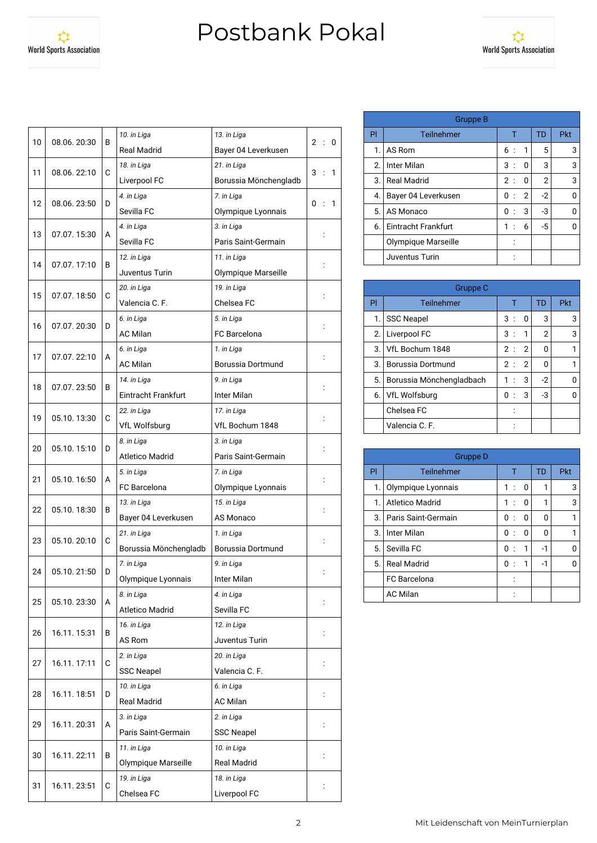

| 10 | 08.06.20:30 | В | 10. in Liga            | 13. in Liga           | $\overline{2}$<br>$\ddot{\phantom{a}}$<br>0 |
|----|-------------|---|------------------------|-----------------------|---------------------------------------------|
|    |             |   | <b>Real Madrid</b>     | Bayer 04 Leverkusen   |                                             |
| 11 | 08.06.22:10 | С | 18. in Liga            | 21. in Liga           | 3<br>$\ddot{\cdot}$<br>1                    |
|    |             |   | Liverpool FC           | Borussia Mönchengladb |                                             |
| 12 | 08.06.23:50 | D | 4. in Liga             | 7. in Liga            | 0<br>1                                      |
|    |             |   | Sevilla FC             | Olympique Lyonnais    |                                             |
| 13 | 07.07.15:30 | A | 4. in Liga             | 3. in Liga            |                                             |
|    |             |   | Sevilla FC             | Paris Saint-Germain   |                                             |
|    |             |   | 12. in Liga            | 11. in Liga           |                                             |
| 14 | 07.07.17:10 | В | Juventus Turin         | Olympique Marseille   |                                             |
|    |             |   | 20. in Liga            | 19. in Liga           |                                             |
| 15 | 07.07.18:50 | C | Valencia C. F.         | Chelsea FC            |                                             |
|    |             |   | 6. in Liga             | 5. in Liga            |                                             |
| 16 | 07.07.20:30 | D | <b>AC Milan</b>        | <b>FC</b> Barcelona   |                                             |
|    |             |   | 6. in Liga             | 1. in Liga            |                                             |
| 17 | 07.07.22:10 | А | <b>AC Milan</b>        | Borussia Dortmund     |                                             |
|    |             |   | 14. in Liga            | 9. in Liga            |                                             |
| 18 | 07.07.23:50 | B | Eintracht Frankfurt    | Inter Milan           |                                             |
|    |             |   | 22. in Liga            | 17. in Liga           |                                             |
| 19 | 05.10.13:30 | C | <b>VfL Wolfsburg</b>   | VfL Bochum 1848       |                                             |
|    |             |   | 8. in Liga             | 3. in Liga            |                                             |
| 20 | 05.10.15:10 | D | <b>Atletico Madrid</b> | Paris Saint-Germain   |                                             |
|    |             |   | 5. in Liga             | 7. in Liga            |                                             |
| 21 | 05.10.16:50 | A | FC Barcelona           | Olympique Lyonnais    |                                             |
|    |             |   | 13. in Liga            | 15. in Liga           |                                             |
| 22 | 05.10.18:30 | В | Bayer 04 Leverkusen    | AS Monaco             |                                             |
|    |             |   | 21. in Liga            | 1. in Liga            |                                             |
| 23 | 05.10.20:10 | C | Borussia Mönchengladb  | Borussia Dortmund     |                                             |
|    |             |   | 7. in Liga             | 9. in Liga            |                                             |
| 24 | 05.10.21:50 | D | Olympique Lyonnais     | Inter Milan           |                                             |
|    |             |   | 8. in Liga             | 4. in Liga            |                                             |
| 25 | 05.10.23:30 | A | <b>Atletico Madrid</b> | Sevilla FC            |                                             |
|    |             |   | 16. in Liga            | 12. in Liga           |                                             |
| 26 | 16.11.15:31 | В | AS Rom                 | Juventus Turin        |                                             |
|    |             |   | 2. in Liga             | 20. in Liga           |                                             |
| 27 | 16.11.17:11 | C | <b>SSC Neapel</b>      | Valencia C. F.        |                                             |
|    |             |   | 10. in Liga            | 6. in Liga            |                                             |
| 28 | 16.11.18:51 | D | Real Madrid            | <b>AC Milan</b>       | $\ddot{\cdot}$                              |
|    |             |   | 3. in Liga             | 2. in Liga            |                                             |
| 29 | 16.11.20:31 | А | Paris Saint-Germain    | <b>SSC Neapel</b>     |                                             |
|    |             |   | 11. in Liga            | 10. in Liga           |                                             |
| 30 | 16.11.22:11 | В | Olympique Marseille    | <b>Real Madrid</b>    |                                             |
|    |             |   | 19. in Liga            | 18. in Liga           |                                             |
| 31 | 16.11.23:51 | С | Chelsea FC             | Liverpool FC          |                                             |
|    |             |   |                        |                       |                                             |

|    | Gruppe B            |                |                |                |            |  |  |  |  |  |
|----|---------------------|----------------|----------------|----------------|------------|--|--|--|--|--|
| PI | Teilnehmer          | т              |                | TD             | <b>Pkt</b> |  |  |  |  |  |
| 1. | AS Rom              | 6:             | 1              | 5              | 3          |  |  |  |  |  |
| 2. | Inter Milan         | 3:             | 0              | 3              | 3          |  |  |  |  |  |
| 3. | <b>Real Madrid</b>  | 2:             | 0              | $\overline{2}$ | 3          |  |  |  |  |  |
| 4. | Bayer 04 Leverkusen | 0<br>$\cdot$ : | $\overline{2}$ | $-2$           | 0          |  |  |  |  |  |
| 5. | AS Monaco           | 0<br>$\cdot$ : | 3              | -3             | U          |  |  |  |  |  |
| 6. | Eintracht Frankfurt | 1:             | 6              | $-5$           | ŋ          |  |  |  |  |  |
|    | Olympique Marseille |                |                |                |            |  |  |  |  |  |
|    | Juventus Turin      |                |                |                |            |  |  |  |  |  |

|    | Gruppe C                 |                                |           |            |  |  |  |  |  |  |  |
|----|--------------------------|--------------------------------|-----------|------------|--|--|--|--|--|--|--|
| PI | Teilnehmer               |                                | <b>TD</b> | <b>Pkt</b> |  |  |  |  |  |  |  |
| 1. | <b>SSC Neapel</b>        | 3:<br>0                        | 3         | 3          |  |  |  |  |  |  |  |
| 2. | Liverpool FC             | 3:<br>$\mathbf{1}$             | 2         | 3          |  |  |  |  |  |  |  |
| 3. | VfL Bochum 1848          | $\overline{2}$<br>2:           | 0         |            |  |  |  |  |  |  |  |
| 3. | Borussia Dortmund        | $\overline{2}$<br>2:           | ŋ         |            |  |  |  |  |  |  |  |
| 5. | Borussia Mönchengladbach | 3<br>1<br>$\cdot$              | $-2$      |            |  |  |  |  |  |  |  |
| 6. | <b>VfL Wolfsburg</b>     | 3<br>0<br>$\ddot{\phantom{0}}$ | -3        |            |  |  |  |  |  |  |  |
|    | Chelsea FC               |                                |           |            |  |  |  |  |  |  |  |
|    | Valencia C. F.           |                                |           |            |  |  |  |  |  |  |  |

|    | Gruppe D            |                           |   |           |            |  |  |  |  |  |
|----|---------------------|---------------------------|---|-----------|------------|--|--|--|--|--|
| PI | Teilnehmer          | Т                         |   | <b>TD</b> | <b>Pkt</b> |  |  |  |  |  |
| 1. | Olympique Lyonnais  | 1:                        | 0 | 1         | 3          |  |  |  |  |  |
| 1. | Atletico Madrid     | 1:                        | 0 |           | 3          |  |  |  |  |  |
| 3. | Paris Saint-Germain | 0:                        | 0 | 0         |            |  |  |  |  |  |
| 3. | Inter Milan         | 0<br>$\ddot{\phantom{a}}$ | O | ŋ         |            |  |  |  |  |  |
| 5. | Sevilla FC          | 0<br>$\ddot{\phantom{a}}$ | 1 | -1        |            |  |  |  |  |  |
| 5. | <b>Real Madrid</b>  | 0:                        | 1 | -1        |            |  |  |  |  |  |
|    | FC Barcelona        |                           |   |           |            |  |  |  |  |  |
|    | <b>AC Milan</b>     |                           |   |           |            |  |  |  |  |  |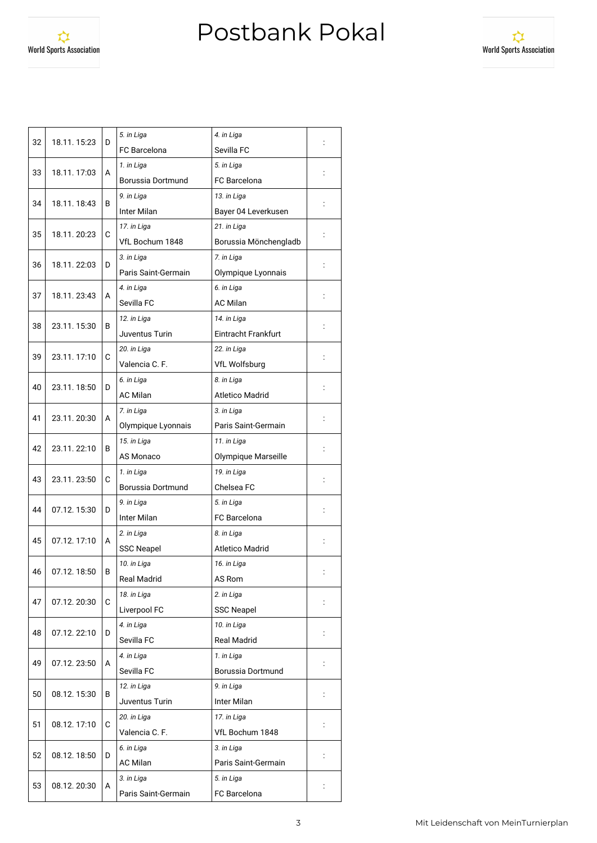☆ **World Sports Association** 



| <b>FC</b> Barcelona<br>Sevilla FC<br>5. in Liga<br>1. in Liga<br>33<br>18.11.17:03<br>A<br>FC Barcelona<br>Borussia Dortmund<br>9. in Liga<br>13. in Liga<br>34<br>18.11.18:43<br>В<br>Inter Milan<br>Bayer 04 Leverkusen<br>17. in Liga<br>21. in Liga<br>35<br>C<br>18.11. 20:23<br>VfL Bochum 1848<br>Borussia Mönchengladb<br>7. in Liga<br>3. in Liga<br>36<br>18.11.22:03<br>D<br>Paris Saint-Germain<br>Olympique Lyonnais<br>6. in Liga<br>4. in Liga<br>37<br>18.11.23:43<br>A<br>Sevilla FC<br>AC Milan<br>12. in Liga<br>14. in Liga<br>38<br>23.11.15:30<br>В<br><b>Eintracht Frankfurt</b><br>Juventus Turin<br>20. in Liga<br>22. in Liga<br>39<br>23.11.17:10<br>C<br>Valencia C. F.<br><b>VfL Wolfsburg</b><br>6. in Liga<br>8. in Liga<br>23.11.18:50<br>40<br>D<br><b>AC Milan</b><br><b>Atletico Madrid</b><br>7. in Liga<br>3. in Liga<br>23.11.20:30<br>41<br>A<br>Olympique Lyonnais<br>Paris Saint-Germain<br>15. in Liga<br>11. in Liga<br>42<br>23.11.22:10<br>В<br>AS Monaco<br>Olympique Marseille<br>19. in Liga<br>1. in Liga<br>23.11.23:50<br>43<br>С<br>Chelsea FC<br>Borussia Dortmund<br>9. in Liga<br>5. in Liga<br>44<br>07.12.15:30<br>D<br>Inter Milan<br>FC Barcelona<br>8. in Liga<br>2. in Liga<br>07.12.17:10<br>45<br>A<br><b>Atletico Madrid</b><br><b>SSC Neapel</b><br>10. in Liga<br>16. in Liga<br>46<br>07.12.18:50<br>В<br>Real Madrid<br>AS Rom<br>18. in Liga<br>2. in Liga<br>С<br>47<br>07.12.20:30<br>Liverpool FC<br>SSC Neapel<br>4. in Liga<br>10. in Liga<br>48<br>07.12.22:10<br>D<br>Sevilla FC<br><b>Real Madrid</b><br>4. in Liga<br>1. in Liga<br>49<br>07.12.23:50<br>A<br>Sevilla FC<br>Borussia Dortmund<br>12. in Liga<br>9. in Liga<br>50<br>08.12.15:30<br>В<br>Juventus Turin<br>Inter Milan<br>17. in Liga<br>20. in Liga<br>51<br>08.12.17:10<br>С<br>Valencia C. F.<br>VfL Bochum 1848<br>6. in Liga<br>3. in Liga<br>52<br>08.12.18:50<br>D<br>$\ddot{\cdot}$<br><b>AC Milan</b><br>Paris Saint-Germain<br>3. in Liga<br>5. in Liga<br>53<br>08.12.20:30<br>A<br>FC Barcelona<br>Paris Saint-Germain | 32 | 18.11.15:23 | D | 5. in Liga | 4. in Liga |  |
|---------------------------------------------------------------------------------------------------------------------------------------------------------------------------------------------------------------------------------------------------------------------------------------------------------------------------------------------------------------------------------------------------------------------------------------------------------------------------------------------------------------------------------------------------------------------------------------------------------------------------------------------------------------------------------------------------------------------------------------------------------------------------------------------------------------------------------------------------------------------------------------------------------------------------------------------------------------------------------------------------------------------------------------------------------------------------------------------------------------------------------------------------------------------------------------------------------------------------------------------------------------------------------------------------------------------------------------------------------------------------------------------------------------------------------------------------------------------------------------------------------------------------------------------------------------------------------------------------------------------------------------------------------------------------------------------------------------------------------------------------------------------------------------------------------------------------------------------------------------------------------------------------------------------------------------------------------------------------------------------------------------------------------------------------------------------------------|----|-------------|---|------------|------------|--|
|                                                                                                                                                                                                                                                                                                                                                                                                                                                                                                                                                                                                                                                                                                                                                                                                                                                                                                                                                                                                                                                                                                                                                                                                                                                                                                                                                                                                                                                                                                                                                                                                                                                                                                                                                                                                                                                                                                                                                                                                                                                                                 |    |             |   |            |            |  |
|                                                                                                                                                                                                                                                                                                                                                                                                                                                                                                                                                                                                                                                                                                                                                                                                                                                                                                                                                                                                                                                                                                                                                                                                                                                                                                                                                                                                                                                                                                                                                                                                                                                                                                                                                                                                                                                                                                                                                                                                                                                                                 |    |             |   |            |            |  |
|                                                                                                                                                                                                                                                                                                                                                                                                                                                                                                                                                                                                                                                                                                                                                                                                                                                                                                                                                                                                                                                                                                                                                                                                                                                                                                                                                                                                                                                                                                                                                                                                                                                                                                                                                                                                                                                                                                                                                                                                                                                                                 |    |             |   |            |            |  |
|                                                                                                                                                                                                                                                                                                                                                                                                                                                                                                                                                                                                                                                                                                                                                                                                                                                                                                                                                                                                                                                                                                                                                                                                                                                                                                                                                                                                                                                                                                                                                                                                                                                                                                                                                                                                                                                                                                                                                                                                                                                                                 |    |             |   |            |            |  |
|                                                                                                                                                                                                                                                                                                                                                                                                                                                                                                                                                                                                                                                                                                                                                                                                                                                                                                                                                                                                                                                                                                                                                                                                                                                                                                                                                                                                                                                                                                                                                                                                                                                                                                                                                                                                                                                                                                                                                                                                                                                                                 |    |             |   |            |            |  |
|                                                                                                                                                                                                                                                                                                                                                                                                                                                                                                                                                                                                                                                                                                                                                                                                                                                                                                                                                                                                                                                                                                                                                                                                                                                                                                                                                                                                                                                                                                                                                                                                                                                                                                                                                                                                                                                                                                                                                                                                                                                                                 |    |             |   |            |            |  |
|                                                                                                                                                                                                                                                                                                                                                                                                                                                                                                                                                                                                                                                                                                                                                                                                                                                                                                                                                                                                                                                                                                                                                                                                                                                                                                                                                                                                                                                                                                                                                                                                                                                                                                                                                                                                                                                                                                                                                                                                                                                                                 |    |             |   |            |            |  |
|                                                                                                                                                                                                                                                                                                                                                                                                                                                                                                                                                                                                                                                                                                                                                                                                                                                                                                                                                                                                                                                                                                                                                                                                                                                                                                                                                                                                                                                                                                                                                                                                                                                                                                                                                                                                                                                                                                                                                                                                                                                                                 |    |             |   |            |            |  |
|                                                                                                                                                                                                                                                                                                                                                                                                                                                                                                                                                                                                                                                                                                                                                                                                                                                                                                                                                                                                                                                                                                                                                                                                                                                                                                                                                                                                                                                                                                                                                                                                                                                                                                                                                                                                                                                                                                                                                                                                                                                                                 |    |             |   |            |            |  |
|                                                                                                                                                                                                                                                                                                                                                                                                                                                                                                                                                                                                                                                                                                                                                                                                                                                                                                                                                                                                                                                                                                                                                                                                                                                                                                                                                                                                                                                                                                                                                                                                                                                                                                                                                                                                                                                                                                                                                                                                                                                                                 |    |             |   |            |            |  |
|                                                                                                                                                                                                                                                                                                                                                                                                                                                                                                                                                                                                                                                                                                                                                                                                                                                                                                                                                                                                                                                                                                                                                                                                                                                                                                                                                                                                                                                                                                                                                                                                                                                                                                                                                                                                                                                                                                                                                                                                                                                                                 |    |             |   |            |            |  |
|                                                                                                                                                                                                                                                                                                                                                                                                                                                                                                                                                                                                                                                                                                                                                                                                                                                                                                                                                                                                                                                                                                                                                                                                                                                                                                                                                                                                                                                                                                                                                                                                                                                                                                                                                                                                                                                                                                                                                                                                                                                                                 |    |             |   |            |            |  |
|                                                                                                                                                                                                                                                                                                                                                                                                                                                                                                                                                                                                                                                                                                                                                                                                                                                                                                                                                                                                                                                                                                                                                                                                                                                                                                                                                                                                                                                                                                                                                                                                                                                                                                                                                                                                                                                                                                                                                                                                                                                                                 |    |             |   |            |            |  |
|                                                                                                                                                                                                                                                                                                                                                                                                                                                                                                                                                                                                                                                                                                                                                                                                                                                                                                                                                                                                                                                                                                                                                                                                                                                                                                                                                                                                                                                                                                                                                                                                                                                                                                                                                                                                                                                                                                                                                                                                                                                                                 |    |             |   |            |            |  |
|                                                                                                                                                                                                                                                                                                                                                                                                                                                                                                                                                                                                                                                                                                                                                                                                                                                                                                                                                                                                                                                                                                                                                                                                                                                                                                                                                                                                                                                                                                                                                                                                                                                                                                                                                                                                                                                                                                                                                                                                                                                                                 |    |             |   |            |            |  |
|                                                                                                                                                                                                                                                                                                                                                                                                                                                                                                                                                                                                                                                                                                                                                                                                                                                                                                                                                                                                                                                                                                                                                                                                                                                                                                                                                                                                                                                                                                                                                                                                                                                                                                                                                                                                                                                                                                                                                                                                                                                                                 |    |             |   |            |            |  |
|                                                                                                                                                                                                                                                                                                                                                                                                                                                                                                                                                                                                                                                                                                                                                                                                                                                                                                                                                                                                                                                                                                                                                                                                                                                                                                                                                                                                                                                                                                                                                                                                                                                                                                                                                                                                                                                                                                                                                                                                                                                                                 |    |             |   |            |            |  |
|                                                                                                                                                                                                                                                                                                                                                                                                                                                                                                                                                                                                                                                                                                                                                                                                                                                                                                                                                                                                                                                                                                                                                                                                                                                                                                                                                                                                                                                                                                                                                                                                                                                                                                                                                                                                                                                                                                                                                                                                                                                                                 |    |             |   |            |            |  |
|                                                                                                                                                                                                                                                                                                                                                                                                                                                                                                                                                                                                                                                                                                                                                                                                                                                                                                                                                                                                                                                                                                                                                                                                                                                                                                                                                                                                                                                                                                                                                                                                                                                                                                                                                                                                                                                                                                                                                                                                                                                                                 |    |             |   |            |            |  |
|                                                                                                                                                                                                                                                                                                                                                                                                                                                                                                                                                                                                                                                                                                                                                                                                                                                                                                                                                                                                                                                                                                                                                                                                                                                                                                                                                                                                                                                                                                                                                                                                                                                                                                                                                                                                                                                                                                                                                                                                                                                                                 |    |             |   |            |            |  |
|                                                                                                                                                                                                                                                                                                                                                                                                                                                                                                                                                                                                                                                                                                                                                                                                                                                                                                                                                                                                                                                                                                                                                                                                                                                                                                                                                                                                                                                                                                                                                                                                                                                                                                                                                                                                                                                                                                                                                                                                                                                                                 |    |             |   |            |            |  |
|                                                                                                                                                                                                                                                                                                                                                                                                                                                                                                                                                                                                                                                                                                                                                                                                                                                                                                                                                                                                                                                                                                                                                                                                                                                                                                                                                                                                                                                                                                                                                                                                                                                                                                                                                                                                                                                                                                                                                                                                                                                                                 |    |             |   |            |            |  |
|                                                                                                                                                                                                                                                                                                                                                                                                                                                                                                                                                                                                                                                                                                                                                                                                                                                                                                                                                                                                                                                                                                                                                                                                                                                                                                                                                                                                                                                                                                                                                                                                                                                                                                                                                                                                                                                                                                                                                                                                                                                                                 |    |             |   |            |            |  |
|                                                                                                                                                                                                                                                                                                                                                                                                                                                                                                                                                                                                                                                                                                                                                                                                                                                                                                                                                                                                                                                                                                                                                                                                                                                                                                                                                                                                                                                                                                                                                                                                                                                                                                                                                                                                                                                                                                                                                                                                                                                                                 |    |             |   |            |            |  |
|                                                                                                                                                                                                                                                                                                                                                                                                                                                                                                                                                                                                                                                                                                                                                                                                                                                                                                                                                                                                                                                                                                                                                                                                                                                                                                                                                                                                                                                                                                                                                                                                                                                                                                                                                                                                                                                                                                                                                                                                                                                                                 |    |             |   |            |            |  |
|                                                                                                                                                                                                                                                                                                                                                                                                                                                                                                                                                                                                                                                                                                                                                                                                                                                                                                                                                                                                                                                                                                                                                                                                                                                                                                                                                                                                                                                                                                                                                                                                                                                                                                                                                                                                                                                                                                                                                                                                                                                                                 |    |             |   |            |            |  |
|                                                                                                                                                                                                                                                                                                                                                                                                                                                                                                                                                                                                                                                                                                                                                                                                                                                                                                                                                                                                                                                                                                                                                                                                                                                                                                                                                                                                                                                                                                                                                                                                                                                                                                                                                                                                                                                                                                                                                                                                                                                                                 |    |             |   |            |            |  |
|                                                                                                                                                                                                                                                                                                                                                                                                                                                                                                                                                                                                                                                                                                                                                                                                                                                                                                                                                                                                                                                                                                                                                                                                                                                                                                                                                                                                                                                                                                                                                                                                                                                                                                                                                                                                                                                                                                                                                                                                                                                                                 |    |             |   |            |            |  |
|                                                                                                                                                                                                                                                                                                                                                                                                                                                                                                                                                                                                                                                                                                                                                                                                                                                                                                                                                                                                                                                                                                                                                                                                                                                                                                                                                                                                                                                                                                                                                                                                                                                                                                                                                                                                                                                                                                                                                                                                                                                                                 |    |             |   |            |            |  |
|                                                                                                                                                                                                                                                                                                                                                                                                                                                                                                                                                                                                                                                                                                                                                                                                                                                                                                                                                                                                                                                                                                                                                                                                                                                                                                                                                                                                                                                                                                                                                                                                                                                                                                                                                                                                                                                                                                                                                                                                                                                                                 |    |             |   |            |            |  |
|                                                                                                                                                                                                                                                                                                                                                                                                                                                                                                                                                                                                                                                                                                                                                                                                                                                                                                                                                                                                                                                                                                                                                                                                                                                                                                                                                                                                                                                                                                                                                                                                                                                                                                                                                                                                                                                                                                                                                                                                                                                                                 |    |             |   |            |            |  |
|                                                                                                                                                                                                                                                                                                                                                                                                                                                                                                                                                                                                                                                                                                                                                                                                                                                                                                                                                                                                                                                                                                                                                                                                                                                                                                                                                                                                                                                                                                                                                                                                                                                                                                                                                                                                                                                                                                                                                                                                                                                                                 |    |             |   |            |            |  |
|                                                                                                                                                                                                                                                                                                                                                                                                                                                                                                                                                                                                                                                                                                                                                                                                                                                                                                                                                                                                                                                                                                                                                                                                                                                                                                                                                                                                                                                                                                                                                                                                                                                                                                                                                                                                                                                                                                                                                                                                                                                                                 |    |             |   |            |            |  |
|                                                                                                                                                                                                                                                                                                                                                                                                                                                                                                                                                                                                                                                                                                                                                                                                                                                                                                                                                                                                                                                                                                                                                                                                                                                                                                                                                                                                                                                                                                                                                                                                                                                                                                                                                                                                                                                                                                                                                                                                                                                                                 |    |             |   |            |            |  |
|                                                                                                                                                                                                                                                                                                                                                                                                                                                                                                                                                                                                                                                                                                                                                                                                                                                                                                                                                                                                                                                                                                                                                                                                                                                                                                                                                                                                                                                                                                                                                                                                                                                                                                                                                                                                                                                                                                                                                                                                                                                                                 |    |             |   |            |            |  |
|                                                                                                                                                                                                                                                                                                                                                                                                                                                                                                                                                                                                                                                                                                                                                                                                                                                                                                                                                                                                                                                                                                                                                                                                                                                                                                                                                                                                                                                                                                                                                                                                                                                                                                                                                                                                                                                                                                                                                                                                                                                                                 |    |             |   |            |            |  |
|                                                                                                                                                                                                                                                                                                                                                                                                                                                                                                                                                                                                                                                                                                                                                                                                                                                                                                                                                                                                                                                                                                                                                                                                                                                                                                                                                                                                                                                                                                                                                                                                                                                                                                                                                                                                                                                                                                                                                                                                                                                                                 |    |             |   |            |            |  |
|                                                                                                                                                                                                                                                                                                                                                                                                                                                                                                                                                                                                                                                                                                                                                                                                                                                                                                                                                                                                                                                                                                                                                                                                                                                                                                                                                                                                                                                                                                                                                                                                                                                                                                                                                                                                                                                                                                                                                                                                                                                                                 |    |             |   |            |            |  |
|                                                                                                                                                                                                                                                                                                                                                                                                                                                                                                                                                                                                                                                                                                                                                                                                                                                                                                                                                                                                                                                                                                                                                                                                                                                                                                                                                                                                                                                                                                                                                                                                                                                                                                                                                                                                                                                                                                                                                                                                                                                                                 |    |             |   |            |            |  |
|                                                                                                                                                                                                                                                                                                                                                                                                                                                                                                                                                                                                                                                                                                                                                                                                                                                                                                                                                                                                                                                                                                                                                                                                                                                                                                                                                                                                                                                                                                                                                                                                                                                                                                                                                                                                                                                                                                                                                                                                                                                                                 |    |             |   |            |            |  |
|                                                                                                                                                                                                                                                                                                                                                                                                                                                                                                                                                                                                                                                                                                                                                                                                                                                                                                                                                                                                                                                                                                                                                                                                                                                                                                                                                                                                                                                                                                                                                                                                                                                                                                                                                                                                                                                                                                                                                                                                                                                                                 |    |             |   |            |            |  |
|                                                                                                                                                                                                                                                                                                                                                                                                                                                                                                                                                                                                                                                                                                                                                                                                                                                                                                                                                                                                                                                                                                                                                                                                                                                                                                                                                                                                                                                                                                                                                                                                                                                                                                                                                                                                                                                                                                                                                                                                                                                                                 |    |             |   |            |            |  |
|                                                                                                                                                                                                                                                                                                                                                                                                                                                                                                                                                                                                                                                                                                                                                                                                                                                                                                                                                                                                                                                                                                                                                                                                                                                                                                                                                                                                                                                                                                                                                                                                                                                                                                                                                                                                                                                                                                                                                                                                                                                                                 |    |             |   |            |            |  |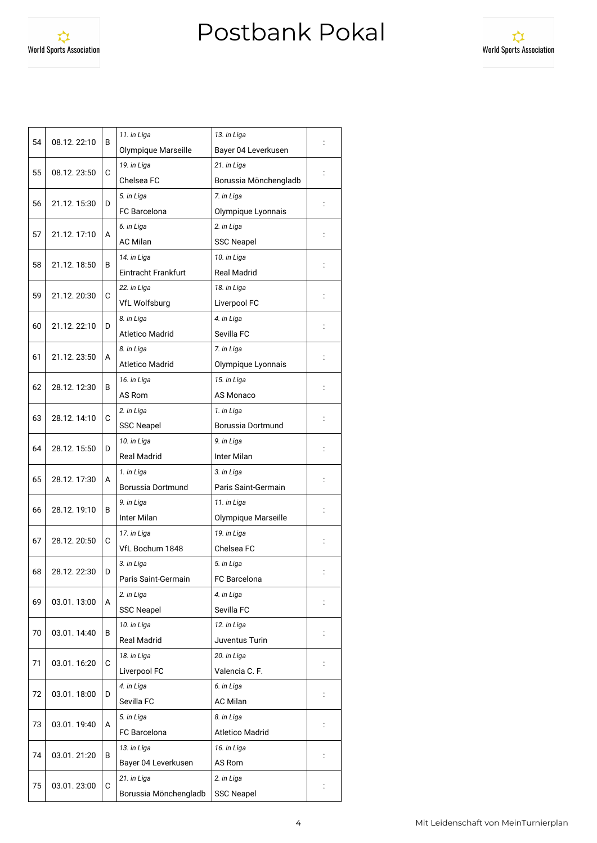World Sports Association



| 54 | 08.12.22:10 | В | 11. in Liga            | 13. in Liga            |                |
|----|-------------|---|------------------------|------------------------|----------------|
|    |             |   | Olympique Marseille    | Bayer 04 Leverkusen    |                |
| 55 | 08.12.23:50 | C | 19. in Liga            | 21. in Liga            |                |
|    |             |   | Chelsea FC             | Borussia Mönchengladb  |                |
| 56 | 21.12.15:30 | D | 5. in Liga             | 7. in Liga             |                |
|    |             |   | <b>FC</b> Barcelona    | Olympique Lyonnais     |                |
|    |             | А | 6. in Liga             | 2. in Liga             |                |
| 57 | 21.12.17:10 |   | <b>AC Milan</b>        | <b>SSC Neapel</b>      |                |
| 58 | 21.12.18:50 | В | 14. in Liga            | 10. in Liga            |                |
|    |             |   | Eintracht Frankfurt    | <b>Real Madrid</b>     |                |
| 59 | 21.12.20:30 | C | 22. in Liga            | 18. in Liga            |                |
|    |             |   | <b>VfL Wolfsburg</b>   | Liverpool FC           |                |
| 60 | 21.12.22:10 | D | 8. in Liga             | 4. in Liga             |                |
|    |             |   | <b>Atletico Madrid</b> | Sevilla FC             |                |
| 61 | 21.12.23:50 |   | 8. in Liga             | 7. in Liga             |                |
|    |             | A | <b>Atletico Madrid</b> | Olympique Lyonnais     |                |
| 62 | 28.12.12:30 | В | 16. in Liga            | 15. in Liga            |                |
|    |             |   | AS Rom                 | AS Monaco              |                |
| 63 | 28.12.14:10 | C | 2. in Liga             | 1. in Liga             |                |
|    |             |   | <b>SSC Neapel</b>      | Borussia Dortmund      |                |
| 64 |             |   | 10. in Liga            | 9. in Liga             |                |
|    | 28.12.15:50 | D | <b>Real Madrid</b>     | Inter Milan            |                |
| 65 | 28.12.17:30 | A | 1. in Liga             | 3. in Liga             |                |
|    |             |   | Borussia Dortmund      | Paris Saint-Germain    |                |
| 66 | 28.12.19:10 | В | 9. in Liga             | 11. in Liga            |                |
|    |             |   | Inter Milan            | Olympique Marseille    |                |
| 67 | 28.12.20:50 | С | 17. in Liga            | 19. in Liga            |                |
|    |             |   | VfL Bochum 1848        | Chelsea FC             |                |
| 68 | 28.12.22:30 | D | 3. in Liga             | 5. in Liga             |                |
|    |             |   | Paris Saint-Germain    | FC Barcelona           |                |
| 69 | 03.01.13:00 | A | 2. in Liga             | 4. in Liga             |                |
|    |             |   | <b>SSC Neapel</b>      | Sevilla FC             |                |
|    |             |   | 10. in Liga            | 12. in Liga            |                |
| 70 | 03.01.14:40 | В | <b>Real Madrid</b>     | Juventus Turin         |                |
|    | 03.01.16:20 | С | 18. in Liga            | 20. in Liga            |                |
| 71 |             |   | Liverpool FC           | Valencia C. F.         |                |
| 72 |             |   | 4. in Liga             | 6. in Liga             |                |
|    | 03.01.18:00 | D | Sevilla FC             | <b>AC Milan</b>        | $\ddot{\cdot}$ |
|    |             |   | 5. in Liga             | 8. in Liga             |                |
| 73 | 03.01.19:40 | A | FC Barcelona           | <b>Atletico Madrid</b> |                |
|    |             |   | 13. in Liga            | 16. in Liga            |                |
| 74 | 03.01.21:20 | В | Bayer 04 Leverkusen    | AS Rom                 |                |
|    |             |   | 21. in Liga            | 2. in Liga             |                |
| 75 | 03.01.23:00 | C | Borussia Mönchengladb  | <b>SSC Neapel</b>      | $\ddot{\cdot}$ |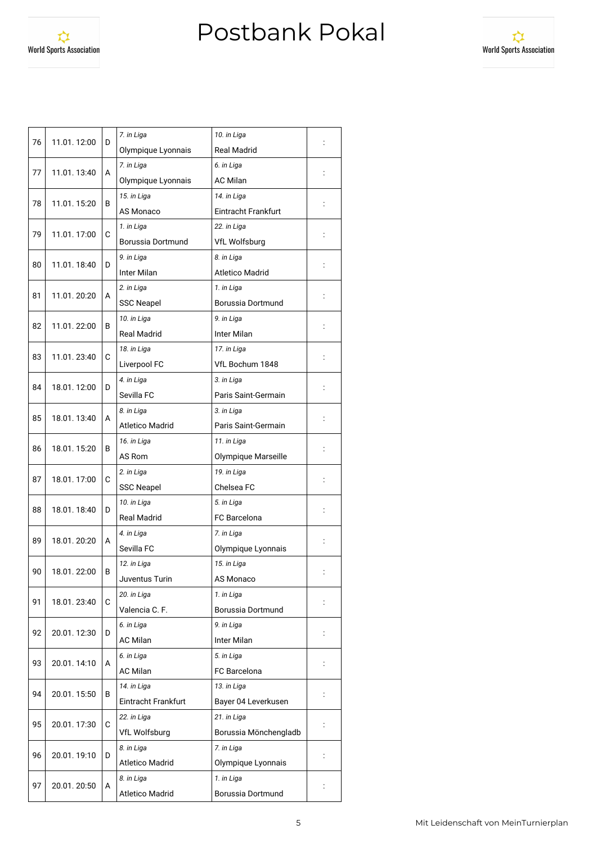World Sports Association



|                   | 11.01.12:00       | D | 7. in Liga<br>10. in Liga                                         |                          |                |  |
|-------------------|-------------------|---|-------------------------------------------------------------------|--------------------------|----------------|--|
| 76                |                   |   | <b>Real Madrid</b><br>Olympique Lyonnais                          |                          |                |  |
|                   |                   | A | 7. in Liga                                                        |                          |                |  |
| 77                | 11.01.13:40       |   | Olympique Lyonnais                                                |                          |                |  |
| 78                | 11.01.15:20       | В | 15. in Liga<br>14. in Liga<br>AS Monaco<br>Eintracht Frankfurt    |                          |                |  |
|                   |                   |   |                                                                   |                          |                |  |
|                   |                   |   | 1. in Liga<br>22. in Liga                                         |                          |                |  |
| 79<br>11.01.17:00 |                   | C | Borussia Dortmund<br><b>VfL Wolfsburg</b>                         |                          |                |  |
|                   | 80<br>11.01.18:40 |   | 9. in Liga<br>8. in Liga<br>Inter Milan<br><b>Atletico Madrid</b> |                          |                |  |
|                   |                   |   |                                                                   |                          |                |  |
|                   | 11.01.20:20       | A | 2. in Liga                                                        | 1. in Liga               |                |  |
| 81                |                   |   | <b>SSC Neapel</b>                                                 | Borussia Dortmund        |                |  |
|                   | 11.01.22:00       | в | 10. in Liga                                                       | 9. in Liga               |                |  |
| 82                |                   |   | <b>Real Madrid</b>                                                | Inter Milan              |                |  |
|                   |                   |   | 18. in Liga                                                       | 17. in Liga              |                |  |
| 83                | 11.01.23:40       | C | Liverpool FC                                                      | VfL Bochum 1848          |                |  |
|                   |                   |   | 4. in Liga                                                        | 3. in Liga               |                |  |
| 84                | 18.01.12:00       | D | Sevilla FC                                                        | Paris Saint-Germain      |                |  |
|                   |                   |   | 8. in Liga                                                        | 3. in Liga               |                |  |
| 85                | 18.01.13:40       | A | <b>Atletico Madrid</b>                                            | Paris Saint-Germain      |                |  |
|                   | 18.01.15:20       | В | 16. in Liga                                                       | 11. in Liga              |                |  |
| 86                |                   |   | AS Rom                                                            |                          |                |  |
|                   | 18.01.17:00       | C | 19. in Liga<br>2. in Liga<br>Chelsea FC<br><b>SSC Neapel</b>      |                          |                |  |
| 87                |                   |   |                                                                   |                          |                |  |
|                   | 18.01.18:40       | D | 10. in Liga<br>5. in Liga                                         |                          |                |  |
| 88                |                   |   | <b>Real Madrid</b>                                                | <b>FC</b> Barcelona      |                |  |
|                   | 18.01.20:20       | A | 4. in Liga<br>7. in Liga                                          |                          |                |  |
| 89                |                   |   | Sevilla FC                                                        | Olympique Lyonnais       |                |  |
|                   | 18.01.22:00       | B | 12. in Liga                                                       | 15. in Liga<br>AS Monaco |                |  |
| 90                |                   |   | Juventus Turin                                                    |                          |                |  |
|                   | 18.01.23:40       |   | 20. in Liga                                                       | 1. in Liga               |                |  |
| 91                |                   | C | Valencia C. F.<br>Borussia Dortmund                               |                          |                |  |
|                   | 20.01.12:30       | D | 6. in Liga                                                        | 9. in Liga               |                |  |
| 92                |                   |   | <b>AC Milan</b><br>Inter Milan                                    |                          |                |  |
|                   | 20.01.14:10       |   | 6. in Liga                                                        | 5. in Liga               | $\ddot{\cdot}$ |  |
| 93                |                   | A | <b>AC Milan</b>                                                   | FC Barcelona             |                |  |
|                   | 20.01.15:50       | В | 14. in Liga                                                       | 13. in Liga              |                |  |
| 94                |                   |   | Eintracht Frankfurt                                               | Bayer 04 Leverkusen      | $\ddot{\cdot}$ |  |
| 95                | 20.01.17:30       | C | 21. in Liga<br>22. in Liga                                        |                          |                |  |
|                   |                   |   | VfL Wolfsburg                                                     | Borussia Mönchengladb    |                |  |
|                   | 20.01.19:10       | D | 8. in Liga                                                        | 7. in Liga               |                |  |
| 96                |                   |   | <b>Atletico Madrid</b>                                            | Olympique Lyonnais       |                |  |
|                   | 20.01.20:50       |   | 8. in Liga                                                        | 1. in Liga               |                |  |
| 97                |                   | A | <b>Atletico Madrid</b>                                            | Borussia Dortmund        |                |  |
|                   |                   |   |                                                                   |                          |                |  |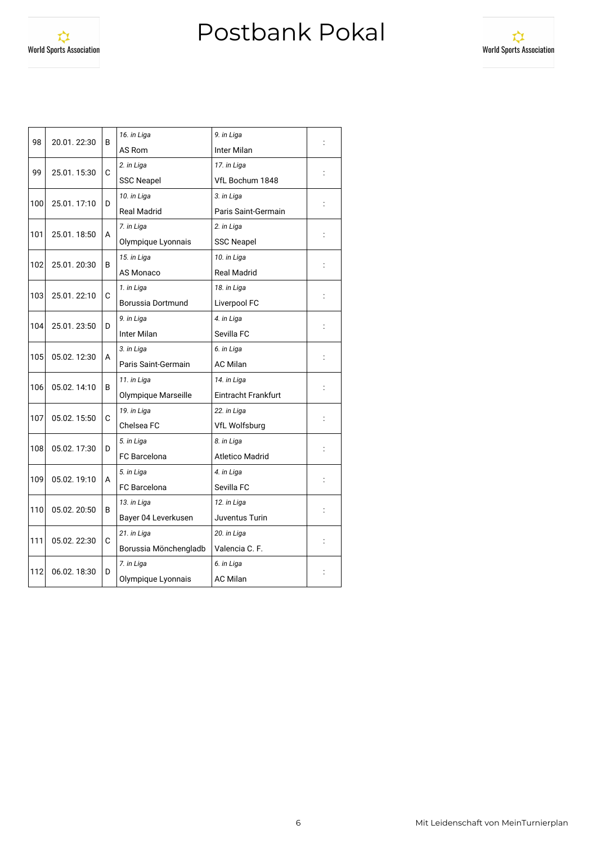

| 98  | 20.01.22:30 | B | 16. in Liga                | 9. in Liga             |  |  |  |
|-----|-------------|---|----------------------------|------------------------|--|--|--|
|     |             |   | AS Rom<br>Inter Milan      |                        |  |  |  |
| 99  | 25.01.15:30 | C | 2. in Liga                 | 17. in Liga            |  |  |  |
|     |             |   | <b>SSC Neapel</b>          | VfL Bochum 1848        |  |  |  |
| 100 | 25.01.17:10 | D | 10. in Liga                | 3. in Liga             |  |  |  |
|     |             |   | <b>Real Madrid</b>         |                        |  |  |  |
| 101 | 25.01.18:50 | A | 7. in Liga                 | 2. in Liga             |  |  |  |
|     |             |   | Olympique Lyonnais         | <b>SSC Neapel</b>      |  |  |  |
| 102 | 25.01.20:30 | В | 15. in Liga                | 10. in Liga            |  |  |  |
|     |             |   | AS Monaco                  | <b>Real Madrid</b>     |  |  |  |
| 103 | 25.01.22:10 | C | 1. in Liga                 | 18. in Liga            |  |  |  |
|     |             |   | Borussia Dortmund          | Liverpool FC           |  |  |  |
|     | 25.01.23:50 | D | 9. in Liga                 | 4. in Liga             |  |  |  |
| 104 |             |   | Inter Milan                | Sevilla FC             |  |  |  |
| 105 | 05.02.12:30 | A | 3. in Liga                 | 6. in Liga             |  |  |  |
|     |             |   | Paris Saint-Germain        | <b>AC Milan</b>        |  |  |  |
| 106 | 05.02.14:10 | В | 11. in Liga                | 14. in Liga            |  |  |  |
|     |             |   | Olympique Marseille        | Eintracht Frankfurt    |  |  |  |
|     | 05.02.15:50 | C | 19. in Liga                | 22. in Liga            |  |  |  |
| 107 |             |   | Chelsea FC                 | <b>VfL Wolfsburg</b>   |  |  |  |
|     | 05.02.17:30 |   | 5. in Liga                 | 8. in Liga             |  |  |  |
| 108 |             | D | <b>FC</b> Barcelona        | <b>Atletico Madrid</b> |  |  |  |
| 109 | 05.02.19:10 | А | 5. in Liga                 | 4. in Liga             |  |  |  |
|     |             |   | <b>FC</b> Barcelona        | Sevilla FC             |  |  |  |
|     | 05.02.20:50 | В | 13. in Liga                | 12. in Liga            |  |  |  |
| 110 |             |   | Bayer 04 Leverkusen        | Juventus Turin         |  |  |  |
| 111 | 05.02.22:30 | C | 21. in Liga<br>20. in Liga |                        |  |  |  |
|     |             |   | Borussia Mönchengladb      | Valencia C. F.         |  |  |  |
|     | 06.02.18:30 | D | 7. in Liga                 | 6. in Liga             |  |  |  |
| 112 |             |   | Olympique Lyonnais         | AC Milan               |  |  |  |